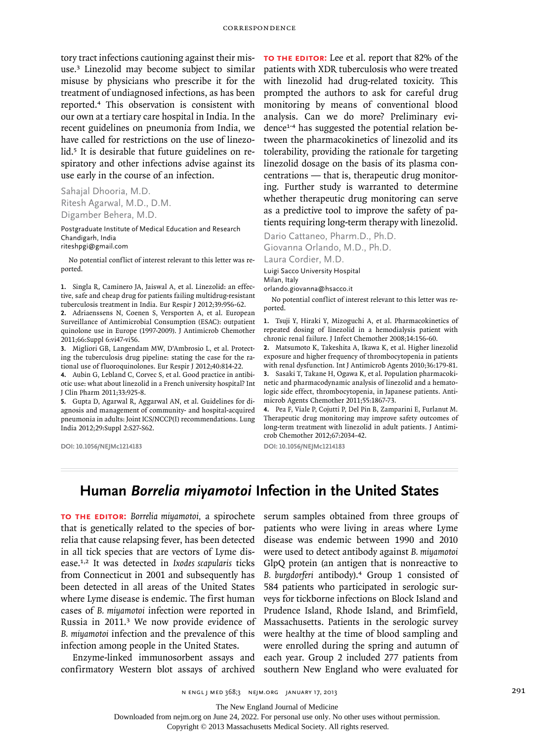tory tract infections cautioning against their misuse.3 Linezolid may become subject to similar misuse by physicians who prescribe it for the treatment of undiagnosed infections, as has been reported.4 This observation is consistent with our own at a tertiary care hospital in India. In the recent guidelines on pneumonia from India, we have called for restrictions on the use of linezolid.<sup>5</sup> It is desirable that future guidelines on respiratory and other infections advise against its use early in the course of an infection.

Sahajal Dhooria, M.D. Ritesh Agarwal, M.D., D.M. Digamber Behera, M.D.

Postgraduate Institute of Medical Education and Research Chandigarh, India riteshpgi@gmail.com

No potential conflict of interest relevant to this letter was reported.

**1.** Singla R, Caminero JA, Jaiswal A, et al. Linezolid: an effective, safe and cheap drug for patients failing multidrug-resistant tuberculosis treatment in India. Eur Respir J 2012;39:956-62.

**2.** Adriaenssens N, Coenen S, Versporten A, et al. European Surveillance of Antimicrobial Consumption (ESAC): outpatient quinolone use in Europe (1997-2009). J Antimicrob Chemother 2011;66:Suppl 6:vi47-vi56.

**3.** Migliori GB, Langendam MW, D'Ambrosio L, et al. Protecting the tuberculosis drug pipeline: stating the case for the rational use of fluoroquinolones. Eur Respir J 2012;40:814-22.

**4.** Aubin G, Lebland C, Corvec S, et al. Good practice in antibiotic use: what about linezolid in a French university hospital? Int J Clin Pharm 2011;33:925-8.

**5.** Gupta D, Agarwal R, Aggarwal AN, et al. Guidelines for diagnosis and management of community- and hospital-acquired pneumonia in adults: Joint ICS/NCCP(I) recommendations. Lung India 2012;29:Suppl 2:S27-S62.

**DOI: 10.1056/NEJMc1214183**

**To the Editor:** Lee et al. report that 82% of the patients with XDR tuberculosis who were treated with linezolid had drug-related toxicity. This prompted the authors to ask for careful drug monitoring by means of conventional blood analysis. Can we do more? Preliminary evidence1-4 has suggested the potential relation between the pharmacokinetics of linezolid and its tolerability, providing the rationale for targeting linezolid dosage on the basis of its plasma concentrations — that is, therapeutic drug monitoring. Further study is warranted to determine whether therapeutic drug monitoring can serve as a predictive tool to improve the safety of patients requiring long-term therapy with linezolid.

Dario Cattaneo, Pharm.D., Ph.D. Giovanna Orlando, M.D., Ph.D.

Laura Cordier, M.D. Luigi Sacco University Hospital

Milan, Italy

orlando.giovanna@hsacco.it

No potential conflict of interest relevant to this letter was reported.

**1.** Tsuji Y, Hiraki Y, Mizoguchi A, et al. Pharmacokinetics of repeated dosing of linezolid in a hemodialysis patient with chronic renal failure. J Infect Chemother 2008;14:156-60.

**2.** Matsumoto K, Takeshita A, Ikawa K, et al. Higher linezolid exposure and higher frequency of thrombocytopenia in patients with renal dysfunction. Int J Antimicrob Agents 2010;36:179-81.

**3.** Sasaki T, Takane H, Ogawa K, et al. Population pharmacokinetic and pharmacodynamic analysis of linezolid and a hematologic side effect, thrombocytopenia, in Japanese patients. Antimicrob Agents Chemother 2011;55:1867-73.

**4.** Pea F, Viale P, Cojutti P, Del Pin B, Zamparini E, Furlanut M. Therapeutic drug monitoring may improve safety outcomes of long-term treatment with linezolid in adult patients. J Antimicrob Chemother 2012;67:2034-42.

**DOI: 10.1056/NEJMc1214183**

## **Human** *Borrelia miyamotoi* **Infection in the United States**

**To the Editor:** *Borrelia miyamotoi,* a spirochete that is genetically related to the species of borrelia that cause relapsing fever, has been detected in all tick species that are vectors of Lyme disease.1,2 It was detected in *Ixodes scapularis* ticks from Connecticut in 2001 and subsequently has been detected in all areas of the United States where Lyme disease is endemic. The first human cases of *B. miyamotoi* infection were reported in Russia in 2011.3 We now provide evidence of *B. miyamotoi* infection and the prevalence of this infection among people in the United States.

Enzyme-linked immunosorbent assays and confirmatory Western blot assays of archived serum samples obtained from three groups of patients who were living in areas where Lyme disease was endemic between 1990 and 2010 were used to detect antibody against *B. miyamotoi* GlpQ protein (an antigen that is nonreactive to *B. burgdorferi* antibody).4 Group 1 consisted of 584 patients who participated in serologic surveys for tickborne infections on Block Island and Prudence Island, Rhode Island, and Brimfield, Massachusetts. Patients in the serologic survey were healthy at the time of blood sampling and were enrolled during the spring and autumn of each year. Group 2 included 277 patients from southern New England who were evaluated for

n engl j med 368;3 nejm.org january 17, 2013 291

The New England Journal of Medicine

Downloaded from nejm.org on June 24, 2022. For personal use only. No other uses without permission.

Copyright © 2013 Massachusetts Medical Society. All rights reserved.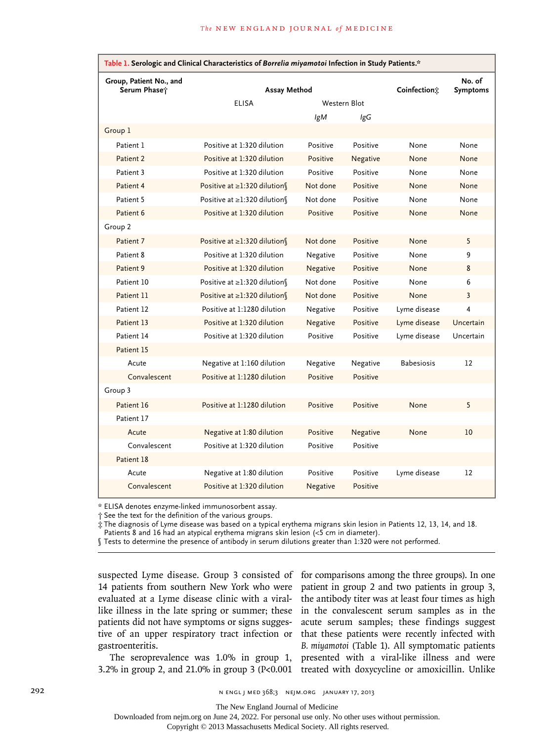| Table 1. Serologic and Clinical Characteristics of Borrelia miyamotoi Infection in Study Patients.* |                                   |              |          |                   |                           |
|-----------------------------------------------------------------------------------------------------|-----------------------------------|--------------|----------|-------------------|---------------------------|
| Group, Patient No., and<br>Serum Phase†                                                             | Assay Method                      |              |          | Coinfection:      | No. of<br><b>Symptoms</b> |
|                                                                                                     | <b>ELISA</b>                      | Western Blot |          |                   |                           |
|                                                                                                     |                                   | IgM          | lgG      |                   |                           |
| Group 1                                                                                             |                                   |              |          |                   |                           |
| Patient 1                                                                                           | Positive at 1:320 dilution        | Positive     | Positive | None              | None                      |
| Patient 2                                                                                           | Positive at 1:320 dilution        | Positive     | Negative | None              | None                      |
| Patient 3                                                                                           | Positive at 1:320 dilution        | Positive     | Positive | None              | None                      |
| Patient 4                                                                                           | Positive at ≥1:320 dilution       | Not done     | Positive | None              | None                      |
| Patient 5                                                                                           | Positive at ≥1:320 dilution       | Not done     | Positive | None              | None                      |
| Patient 6                                                                                           | Positive at 1:320 dilution        | Positive     | Positive | None              | None                      |
| Group 2                                                                                             |                                   |              |          |                   |                           |
| Patient 7                                                                                           | Positive at ≥1:320 dilution       | Not done     | Positive | None              | 5                         |
| Patient 8                                                                                           | Positive at 1:320 dilution        | Negative     | Positive | None              | 9                         |
| Patient 9                                                                                           | Positive at 1:320 dilution        | Negative     | Positive | None              | 8                         |
| Patient 10                                                                                          | Positive at ≥1:320 dilution       | Not done     | Positive | None              | 6                         |
| Patient 11                                                                                          | Positive at $\geq$ 1:320 dilution | Not done     | Positive | None              | 3                         |
| Patient 12                                                                                          | Positive at 1:1280 dilution       | Negative     | Positive | Lyme disease      | 4                         |
| Patient 13                                                                                          | Positive at 1:320 dilution        | Negative     | Positive | Lyme disease      | Uncertain                 |
| Patient 14                                                                                          | Positive at 1:320 dilution        | Positive     | Positive | Lyme disease      | Uncertain                 |
| Patient 15                                                                                          |                                   |              |          |                   |                           |
| Acute                                                                                               | Negative at 1:160 dilution        | Negative     | Negative | <b>Babesiosis</b> | 12                        |
| Convalescent                                                                                        | Positive at 1:1280 dilution       | Positive     | Positive |                   |                           |
| Group 3                                                                                             |                                   |              |          |                   |                           |
| Patient 16                                                                                          | Positive at 1:1280 dilution       | Positive     | Positive | None              | 5                         |
| Patient 17                                                                                          |                                   |              |          |                   |                           |
| Acute                                                                                               | Negative at 1:80 dilution         | Positive     | Negative | None              | 10                        |
| Convalescent                                                                                        | Positive at 1:320 dilution        | Positive     | Positive |                   |                           |
| Patient 18                                                                                          |                                   |              |          |                   |                           |
| Acute                                                                                               | Negative at 1:80 dilution         | Positive     | Positive | Lyme disease      | $12 \overline{ }$         |
| Convalescent                                                                                        | Positive at 1:320 dilution        | Negative     | Positive |                   |                           |

\* ELISA denotes enzyme-linked immunosorbent assay.

† See the text for the definition of the various groups.

‡ The diagnosis of Lyme disease was based on a typical erythema migrans skin lesion in Patients 12, 13, 14, and 18. Patients 8 and 16 had an atypical erythema migrans skin lesion (<5 cm in diameter).

§ Tests to determine the presence of antibody in serum dilutions greater than 1:320 were not performed.

14 patients from southern New York who were evaluated at a Lyme disease clinic with a viralpatients did not have symptoms or signs suggestive of an upper respiratory tract infection or gastroenteritis.

suspected Lyme disease. Group 3 consisted of for comparisons among the three groups). In one like illness in the late spring or summer; these in the convalescent serum samples as in the The seroprevalence was 1.0% in group 1, presented with a viral-like illness and were 3.2% in group 2, and 21.0% in group 3 (P<0.001 treated with doxycycline or amoxicillin. Unlike patient in group 2 and two patients in group 3, the antibody titer was at least four times as high acute serum samples; these findings suggest that these patients were recently infected with *B. miyamotoi* (Table 1). All symptomatic patients

292 **1292** n engl j med 368;3 nejm.org january 17, 2013

The New England Journal of Medicine

Downloaded from nejm.org on June 24, 2022. For personal use only. No other uses without permission.

Copyright © 2013 Massachusetts Medical Society. All rights reserved.